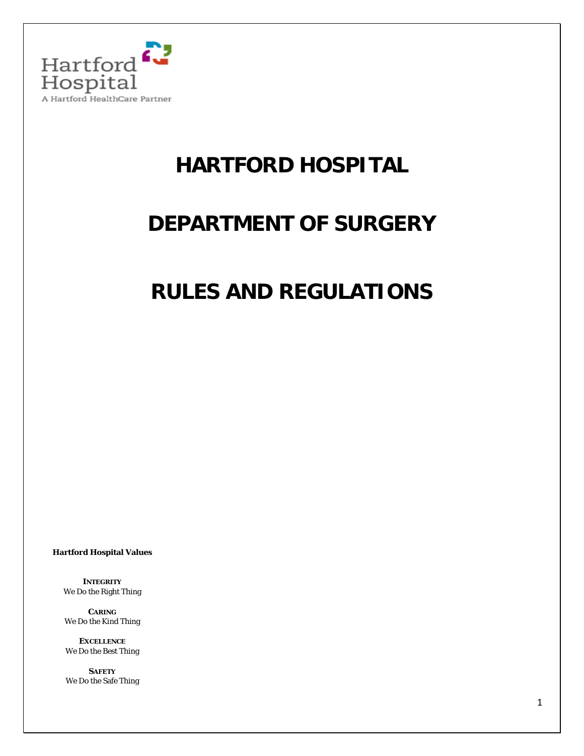

# **HARTFORD HOSPITAL**

## **DEPARTMENT OF SURGERY**

## **RULES AND REGULATIONS**

**Hartford Hospital Values**

**INTEGRITY** We Do the Right Thing

**CARING**  We Do the Kind Thing

**EXCELLENCE** We Do the Best Thing

**SAFETY** We Do the Safe Thing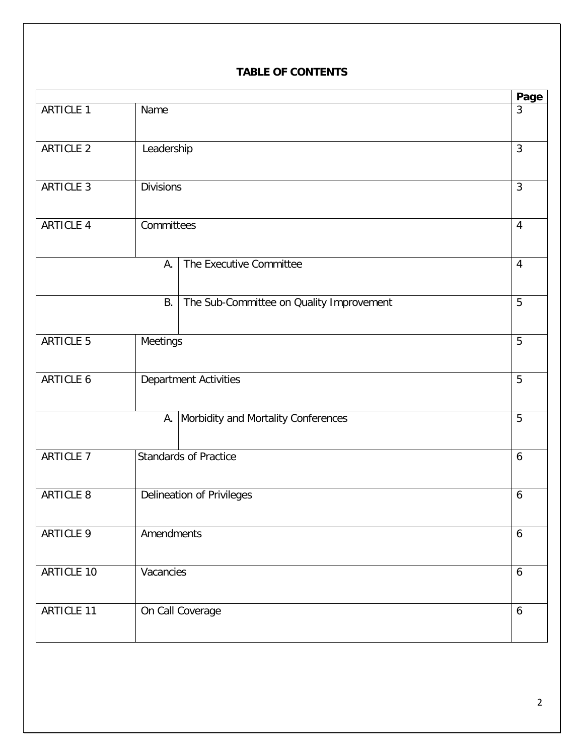## **TABLE OF CONTENTS**

| Name<br>Leadership           |                                          | 3                                                                                                              |
|------------------------------|------------------------------------------|----------------------------------------------------------------------------------------------------------------|
|                              |                                          |                                                                                                                |
|                              |                                          | $\mathfrak{Z}$                                                                                                 |
|                              |                                          | $\mathfrak{Z}$                                                                                                 |
| Committees                   |                                          | $\overline{4}$                                                                                                 |
| А.                           | The Executive Committee                  | $\overline{4}$                                                                                                 |
| <b>B.</b>                    | The Sub-Committee on Quality Improvement | 5                                                                                                              |
| Meetings                     |                                          | 5                                                                                                              |
| <b>Department Activities</b> |                                          | 5                                                                                                              |
|                              |                                          | 5                                                                                                              |
|                              |                                          | 6                                                                                                              |
| Delineation of Privileges    |                                          | 6                                                                                                              |
| Amendments                   |                                          | 6                                                                                                              |
| Vacancies                    |                                          | $\boldsymbol{6}$                                                                                               |
|                              |                                          | 6                                                                                                              |
|                              |                                          | <b>Divisions</b><br>A. Morbidity and Mortality Conferences<br><b>Standards of Practice</b><br>On Call Coverage |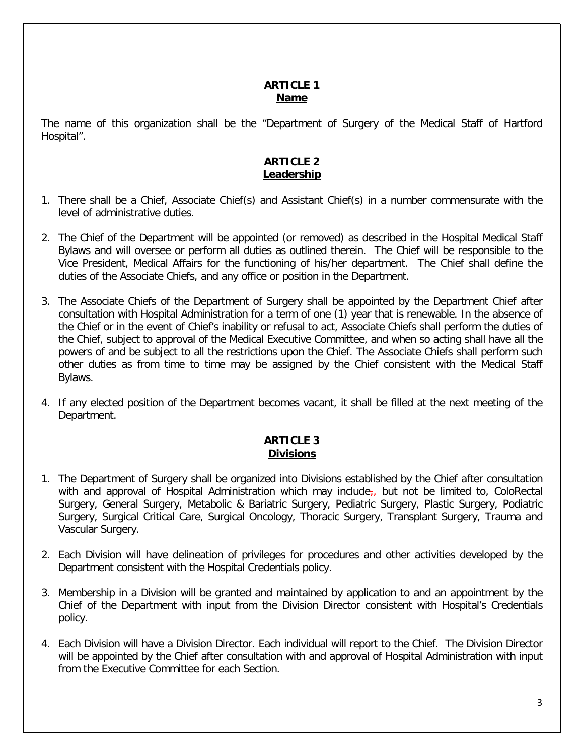### **ARTICLE 1 Name**

The name of this organization shall be the "Department of Surgery of the Medical Staff of Hartford Hospital".

## **ARTICLE 2 Leadership**

- 1. There shall be a Chief, Associate Chief(s) and Assistant Chief(s) in a number commensurate with the level of administrative duties.
- 2. The Chief of the Department will be appointed (or removed) as described in the Hospital Medical Staff Bylaws and will oversee or perform all duties as outlined therein. The Chief will be responsible to the Vice President, Medical Affairs for the functioning of his/her department. The Chief shall define the duties of the Associate Chiefs, and any office or position in the Department.
- 3. The Associate Chiefs of the Department of Surgery shall be appointed by the Department Chief after consultation with Hospital Administration for a term of one (1) year that is renewable. In the absence of the Chief or in the event of Chief's inability or refusal to act, Associate Chiefs shall perform the duties of the Chief, subject to approval of the Medical Executive Committee, and when so acting shall have all the powers of and be subject to all the restrictions upon the Chief. The Associate Chiefs shall perform such other duties as from time to time may be assigned by the Chief consistent with the Medical Staff Bylaws.
- 4. If any elected position of the Department becomes vacant, it shall be filled at the next meeting of the Department.

## **ARTICLE 3 Divisions**

- 1. The Department of Surgery shall be organized into Divisions established by the Chief after consultation with and approval of Hospital Administration which may include<sub>r</sub>, but not be limited to, ColoRectal Surgery, General Surgery, Metabolic & Bariatric Surgery, Pediatric Surgery, Plastic Surgery, Podiatric Surgery, Surgical Critical Care, Surgical Oncology, Thoracic Surgery, Transplant Surgery, Trauma and Vascular Surgery.
- 2. Each Division will have delineation of privileges for procedures and other activities developed by the Department consistent with the Hospital Credentials policy.
- 3. Membership in a Division will be granted and maintained by application to and an appointment by the Chief of the Department with input from the Division Director consistent with Hospital's Credentials policy.
- 4. Each Division will have a Division Director. Each individual will report to the Chief. The Division Director will be appointed by the Chief after consultation with and approval of Hospital Administration with input from the Executive Committee for each Section.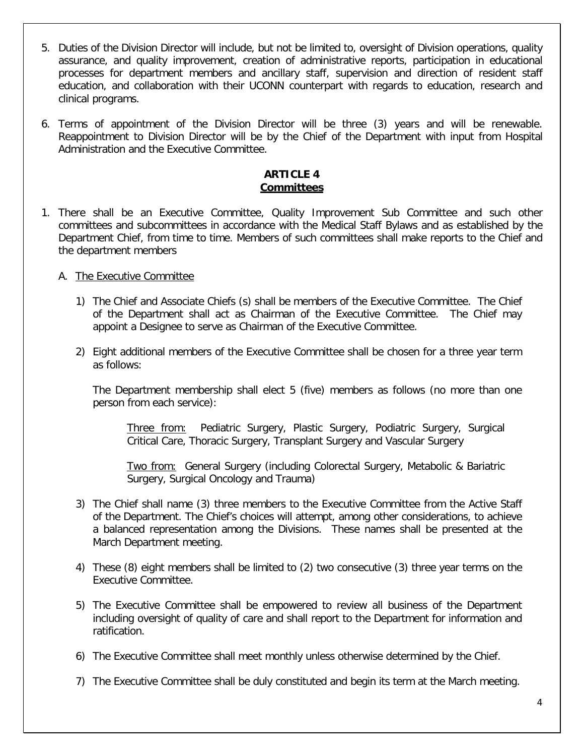- 5. Duties of the Division Director will include, but not be limited to, oversight of Division operations, quality assurance, and quality improvement, creation of administrative reports, participation in educational processes for department members and ancillary staff, supervision and direction of resident staff education, and collaboration with their UCONN counterpart with regards to education, research and clinical programs.
- 6. Terms of appointment of the Division Director will be three (3) years and will be renewable. Reappointment to Division Director will be by the Chief of the Department with input from Hospital Administration and the Executive Committee.

## **ARTICLE 4 Committees**

1. There shall be an Executive Committee, Quality Improvement Sub Committee and such other committees and subcommittees in accordance with the Medical Staff Bylaws and as established by the Department Chief, from time to time. Members of such committees shall make reports to the Chief and the department members

## A. The Executive Committee

- 1) The Chief and Associate Chiefs (s) shall be members of the Executive Committee. The Chief of the Department shall act as Chairman of the Executive Committee. The Chief may appoint a Designee to serve as Chairman of the Executive Committee.
- 2) Eight additional members of the Executive Committee shall be chosen for a three year term as follows:

The Department membership shall elect 5 (five) members as follows (no more than one person from each service):

Three from: Pediatric Surgery, Plastic Surgery, Podiatric Surgery, Surgical Critical Care, Thoracic Surgery, Transplant Surgery and Vascular Surgery

Two from: General Surgery (including Colorectal Surgery, Metabolic & Bariatric Surgery, Surgical Oncology and Trauma)

- 3) The Chief shall name (3) three members to the Executive Committee from the Active Staff of the Department. The Chief's choices will attempt, among other considerations, to achieve a balanced representation among the Divisions. These names shall be presented at the March Department meeting.
- 4) These (8) eight members shall be limited to (2) two consecutive (3) three year terms on the Executive Committee.
- 5) The Executive Committee shall be empowered to review all business of the Department including oversight of quality of care and shall report to the Department for information and ratification.
- 6) The Executive Committee shall meet monthly unless otherwise determined by the Chief.
- 7) The Executive Committee shall be duly constituted and begin its term at the March meeting.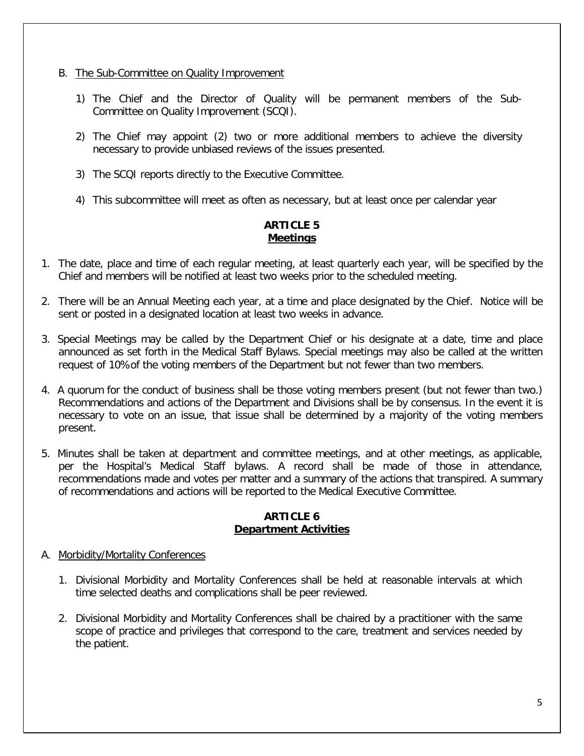- B. The Sub-Committee on Quality Improvement
	- 1) The Chief and the Director of Quality will be permanent members of the Sub-Committee on Quality Improvement (SCQI).
	- 2) The Chief may appoint (2) two or more additional members to achieve the diversity necessary to provide unbiased reviews of the issues presented.
	- 3) The SCQI reports directly to the Executive Committee.
	- 4) This subcommittee will meet as often as necessary, but at least once per calendar year

## **ARTICLE 5 Meetings**

- 1. The date, place and time of each regular meeting, at least quarterly each year, will be specified by the Chief and members will be notified at least two weeks prior to the scheduled meeting.
- 2. There will be an Annual Meeting each year, at a time and place designated by the Chief. Notice will be sent or posted in a designated location at least two weeks in advance.
- 3. Special Meetings may be called by the Department Chief or his designate at a date, time and place announced as set forth in the Medical Staff Bylaws. Special meetings may also be called at the written request of 10%of the voting members of the Department but not fewer than two members.
- 4. A quorum for the conduct of business shall be those voting members present (but not fewer than two.) Recommendations and actions of the Department and Divisions shall be by consensus. In the event it is necessary to vote on an issue, that issue shall be determined by a majority of the voting members present.
- 5. Minutes shall be taken at department and committee meetings, and at other meetings, as applicable, per the Hospital's Medical Staff bylaws. A record shall be made of those in attendance, recommendations made and votes per matter and a summary of the actions that transpired. A summary of recommendations and actions will be reported to the Medical Executive Committee.

## **ARTICLE 6 Department Activities**

#### A. Morbidity/Mortality Conferences

- 1. Divisional Morbidity and Mortality Conferences shall be held at reasonable intervals at which time selected deaths and complications shall be peer reviewed.
- 2. Divisional Morbidity and Mortality Conferences shall be chaired by a practitioner with the same scope of practice and privileges that correspond to the care, treatment and services needed by the patient.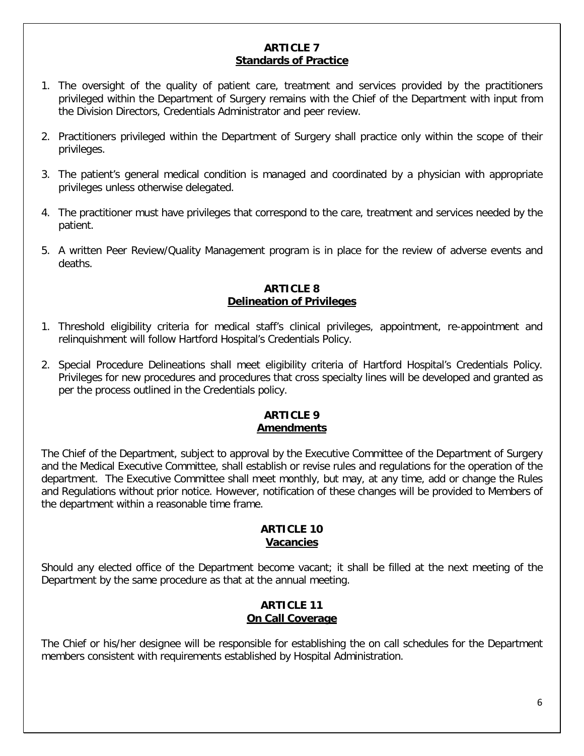#### **ARTICLE 7 Standards of Practice**

- 1. The oversight of the quality of patient care, treatment and services provided by the practitioners privileged within the Department of Surgery remains with the Chief of the Department with input from the Division Directors, Credentials Administrator and peer review.
- 2. Practitioners privileged within the Department of Surgery shall practice only within the scope of their privileges.
- 3. The patient's general medical condition is managed and coordinated by a physician with appropriate privileges unless otherwise delegated.
- 4. The practitioner must have privileges that correspond to the care, treatment and services needed by the patient.
- 5. A written Peer Review/Quality Management program is in place for the review of adverse events and deaths.

#### **ARTICLE 8 Delineation of Privileges**

- 1. Threshold eligibility criteria for medical staff's clinical privileges, appointment, re-appointment and relinquishment will follow Hartford Hospital's Credentials Policy.
- 2. Special Procedure Delineations shall meet eligibility criteria of Hartford Hospital's Credentials Policy. Privileges for new procedures and procedures that cross specialty lines will be developed and granted as per the process outlined in the Credentials policy.

#### **ARTICLE 9 Amendments**

The Chief of the Department, subject to approval by the Executive Committee of the Department of Surgery and the Medical Executive Committee, shall establish or revise rules and regulations for the operation of the department. The Executive Committee shall meet monthly, but may, at any time, add or change the Rules and Regulations without prior notice. However, notification of these changes will be provided to Members of the department within a reasonable time frame.

#### **ARTICLE 10 Vacancies**

Should any elected office of the Department become vacant; it shall be filled at the next meeting of the Department by the same procedure as that at the annual meeting.

## **ARTICLE 11 On Call Coverage**

The Chief or his/her designee will be responsible for establishing the on call schedules for the Department members consistent with requirements established by Hospital Administration.